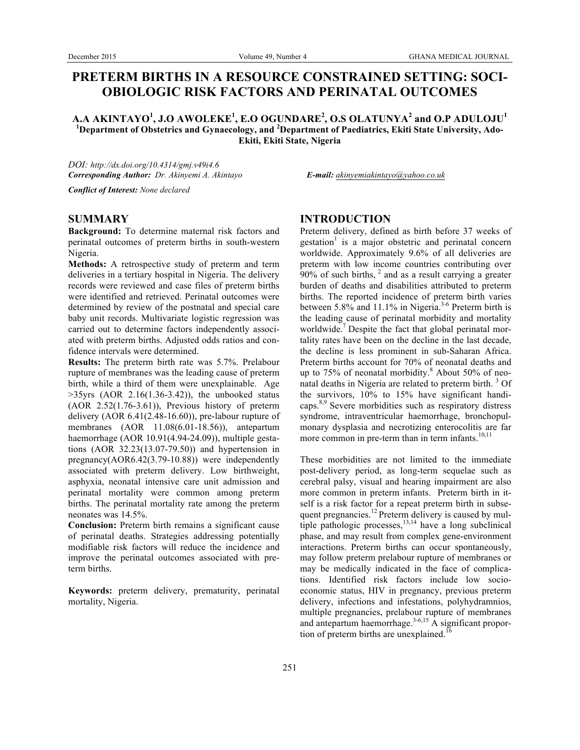# **PRETERM BIRTHS IN A RESOURCE CONSTRAINED SETTING: SOCI-OBIOLOGIC RISK FACTORS AND PERINATAL OUTCOMES**

**A.A AKINTAYO<sup>1</sup> , J.O AWOLEKE<sup>1</sup> , E.O OGUNDARE<sup>2</sup> , O.S OLATUNYA<sup>2</sup> and O.P ADULOJU<sup>1</sup> 1 Department of Obstetrics and Gynaecology, and <sup>2</sup> Department of Paediatrics, Ekiti State University, Ado-Ekiti, Ekiti State, Nigeria**

*DOI: http://dx.doi.org/10.4314/gmj.v49i4.6 Corresponding Author: Dr. Akinyemi A. Akintayo E-mail: akinyemiakintayo@yahoo.co.uk*

*Conflict of Interest: None declared*

#### **SUMMARY**

**Background:** To determine maternal risk factors and perinatal outcomes of preterm births in south-western Nigeria.

**Methods:** A retrospective study of preterm and term deliveries in a tertiary hospital in Nigeria. The delivery records were reviewed and case files of preterm births were identified and retrieved. Perinatal outcomes were determined by review of the postnatal and special care baby unit records. Multivariate logistic regression was carried out to determine factors independently associated with preterm births. Adjusted odds ratios and confidence intervals were determined.

**Results:** The preterm birth rate was 5.7%. Prelabour rupture of membranes was the leading cause of preterm birth, while a third of them were unexplainable. Age  $>35$ yrs (AOR 2.16(1.36-3.42)), the unbooked status (AOR 2.52(1.76-3.61)), Previous history of preterm delivery (AOR 6.41(2.48-16.60)), pre-labour rupture of membranes (AOR 11.08(6.01-18.56)), antepartum haemorrhage (AOR 10.91(4.94-24.09)), multiple gestations (AOR 32.23(13.07-79.50)) and hypertension in pregnancy(AOR6.42(3.79-10.88)) were independently associated with preterm delivery. Low birthweight, asphyxia, neonatal intensive care unit admission and perinatal mortality were common among preterm births. The perinatal mortality rate among the preterm neonates was 14.5%.

**Conclusion:** Preterm birth remains a significant cause of perinatal deaths. Strategies addressing potentially modifiable risk factors will reduce the incidence and improve the perinatal outcomes associated with preterm births.

**Keywords:** preterm delivery, prematurity, perinatal mortality, Nigeria.

## **INTRODUCTION**

Preterm delivery, defined as birth before 37 weeks of  $gestation<sup>1</sup>$  is a major obstetric and perinatal concern worldwide. Approximately 9.6% of all deliveries are preterm with low income countries contributing over  $90\%$  of such births,  $2$  and as a result carrying a greater burden of deaths and disabilities attributed to preterm births. The reported incidence of preterm birth varies between 5.8% and 11.1% in Nigeria.<sup>3-6</sup> Preterm birth is the leading cause of perinatal morbidity and mortality worldwide.<sup>7</sup> Despite the fact that global perinatal mortality rates have been on the decline in the last decade, the decline is less prominent in sub-Saharan Africa. Preterm births account for 70% of neonatal deaths and up to  $75\%$  of neonatal morbidity.<sup>8</sup> About  $50\%$  of neonatal deaths in Nigeria are related to preterm birth. <sup>3</sup> Of the survivors, 10% to 15% have significant handicaps.8,9 Severe morbidities such as respiratory distress syndrome, intraventricular haemorrhage, bronchopulmonary dysplasia and necrotizing enterocolitis are far more common in pre-term than in term infants. $10,11$ 

These morbidities are not limited to the immediate post-delivery period, as long-term sequelae such as cerebral palsy, visual and hearing impairment are also more common in preterm infants. Preterm birth in itself is a risk factor for a repeat preterm birth in subsequent pregnancies.<sup>12</sup> Preterm delivery is caused by multiple pathologic processes, $13,14$  have a long subclinical phase, and may result from complex gene-environment interactions. Preterm births can occur spontaneously, may follow preterm prelabour rupture of membranes or may be medically indicated in the face of complications. Identified risk factors include low socioeconomic status, HIV in pregnancy, previous preterm delivery, infections and infestations, polyhydramnios, multiple pregnancies, prelabour rupture of membranes and antepartum haemorrhage.<sup>3-6,15</sup> A significant proportion of preterm births are unexplained.<sup>16</sup>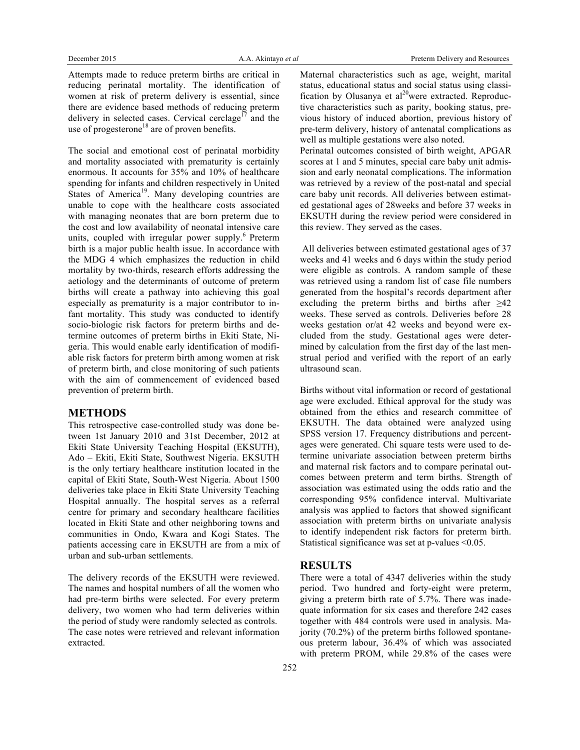Attempts made to reduce preterm births are critical in reducing perinatal mortality. The identification of women at risk of preterm delivery is essential, since there are evidence based methods of reducing preterm delivery in selected cases. Cervical cerclage<sup>17</sup> and the use of progesterone<sup>18</sup> are of proven benefits.

The social and emotional cost of perinatal morbidity and mortality associated with prematurity is certainly enormous. It accounts for 35% and 10% of healthcare spending for infants and children respectively in United States of America<sup>19</sup>. Many developing countries are unable to cope with the healthcare costs associated with managing neonates that are born preterm due to the cost and low availability of neonatal intensive care units, coupled with irregular power supply.<sup>6</sup> Preterm birth is a major public health issue. In accordance with the MDG 4 which emphasizes the reduction in child mortality by two-thirds, research efforts addressing the aetiology and the determinants of outcome of preterm births will create a pathway into achieving this goal especially as prematurity is a major contributor to infant mortality. This study was conducted to identify socio-biologic risk factors for preterm births and determine outcomes of preterm births in Ekiti State, Nigeria. This would enable early identification of modifiable risk factors for preterm birth among women at risk of preterm birth, and close monitoring of such patients with the aim of commencement of evidenced based prevention of preterm birth.

#### **METHODS**

This retrospective case-controlled study was done between 1st January 2010 and 31st December, 2012 at Ekiti State University Teaching Hospital (EKSUTH), Ado – Ekiti, Ekiti State, Southwest Nigeria. EKSUTH is the only tertiary healthcare institution located in the capital of Ekiti State, South-West Nigeria. About 1500 deliveries take place in Ekiti State University Teaching Hospital annually. The hospital serves as a referral centre for primary and secondary healthcare facilities located in Ekiti State and other neighboring towns and communities in Ondo, Kwara and Kogi States. The patients accessing care in EKSUTH are from a mix of urban and sub-urban settlements.

The delivery records of the EKSUTH were reviewed. The names and hospital numbers of all the women who had pre-term births were selected. For every preterm delivery, two women who had term deliveries within the period of study were randomly selected as controls. The case notes were retrieved and relevant information extracted.

Maternal characteristics such as age, weight, marital status, educational status and social status using classification by Olusanya et  $al^{20}$ were extracted. Reproductive characteristics such as parity, booking status, previous history of induced abortion, previous history of pre-term delivery, history of antenatal complications as well as multiple gestations were also noted. Perinatal outcomes consisted of birth weight, APGAR scores at 1 and 5 minutes, special care baby unit admission and early neonatal complications. The information was retrieved by a review of the post-natal and special care baby unit records. All deliveries between estimated gestational ages of 28weeks and before 37 weeks in EKSUTH during the review period were considered in this review. They served as the cases.

All deliveries between estimated gestational ages of 37 weeks and 41 weeks and 6 days within the study period were eligible as controls. A random sample of these was retrieved using a random list of case file numbers generated from the hospital's records department after excluding the preterm births and births after  $\geq 42$ weeks. These served as controls. Deliveries before 28 weeks gestation or/at 42 weeks and beyond were excluded from the study. Gestational ages were determined by calculation from the first day of the last menstrual period and verified with the report of an early ultrasound scan.

Births without vital information or record of gestational age were excluded. Ethical approval for the study was obtained from the ethics and research committee of EKSUTH. The data obtained were analyzed using SPSS version 17. Frequency distributions and percentages were generated. Chi square tests were used to determine univariate association between preterm births and maternal risk factors and to compare perinatal outcomes between preterm and term births. Strength of association was estimated using the odds ratio and the corresponding 95% confidence interval. Multivariate analysis was applied to factors that showed significant association with preterm births on univariate analysis to identify independent risk factors for preterm birth. Statistical significance was set at p-values <0.05.

### **RESULTS**

There were a total of 4347 deliveries within the study period. Two hundred and forty-eight were preterm, giving a preterm birth rate of 5.7%. There was inadequate information for six cases and therefore 242 cases together with 484 controls were used in analysis. Majority (70.2%) of the preterm births followed spontaneous preterm labour, 36.4% of which was associated with preterm PROM, while 29.8% of the cases were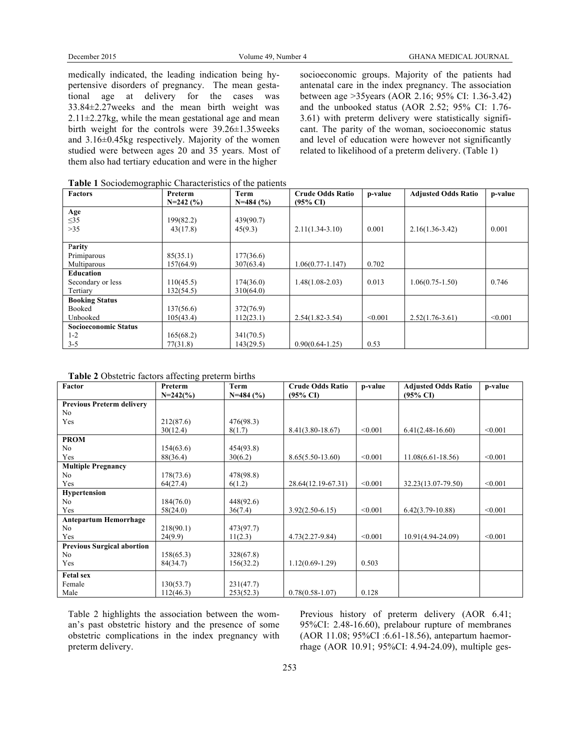medically indicated, the leading indication being hypertensive disorders of pregnancy. The mean gestational age at delivery for the cases was 33.84±2.27weeks and the mean birth weight was  $2.11 \pm 2.27$ kg, while the mean gestational age and mean birth weight for the controls were 39.26±1.35weeks and 3.16±0.45kg respectively. Majority of the women studied were between ages 20 and 35 years. Most of them also had tertiary education and were in the higher

socioeconomic groups. Majority of the patients had antenatal care in the index pregnancy. The association between age >35years (AOR 2.16; 95% CI: 1.36-3.42) and the unbooked status (AOR 2.52; 95% CI: 1.76- 3.61) with preterm delivery were statistically significant. The parity of the woman, socioeconomic status and level of education were however not significantly related to likelihood of a preterm delivery. (Table 1)

| <b>Factors</b>              | Preterm    | Term       | <b>Crude Odds Ratio</b> | p-value | <b>Adjusted Odds Ratio</b> | p-value |
|-----------------------------|------------|------------|-------------------------|---------|----------------------------|---------|
|                             | $N=242(%)$ | $N=484(%)$ | $(95\% \text{ CI})$     |         |                            |         |
| Age                         |            |            |                         |         |                            |         |
| $\leq$ 35                   | 199(82.2)  | 439(90.7)  |                         |         |                            |         |
| >35                         | 43(17.8)   | 45(9.3)    | $2.11(1.34-3.10)$       | 0.001   | $2.16(1.36-3.42)$          | 0.001   |
|                             |            |            |                         |         |                            |         |
| Parity                      |            |            |                         |         |                            |         |
| Primiparous                 | 85(35.1)   | 177(36.6)  |                         |         |                            |         |
| Multiparous                 | 157(64.9)  | 307(63.4)  | $1.06(0.77 - 1.147)$    | 0.702   |                            |         |
| Education                   |            |            |                         |         |                            |         |
| Secondary or less           | 110(45.5)  | 174(36.0)  | $1.48(1.08-2.03)$       | 0.013   | $1.06(0.75 - 1.50)$        | 0.746   |
| Tertiary                    | 132(54.5)  | 310(64.0)  |                         |         |                            |         |
| <b>Booking Status</b>       |            |            |                         |         |                            |         |
| Booked                      | 137(56.6)  | 372(76.9)  |                         |         |                            |         |
| Unbooked                    | 105(43.4)  | 112(23.1)  | $2.54(1.82 - 3.54)$     | < 0.001 | $2.52(1.76-3.61)$          | < 0.001 |
| <b>Socioeconomic Status</b> |            |            |                         |         |                            |         |
| $1 - 2$                     | 165(68.2)  | 341(70.5)  |                         |         |                            |         |
| $3 - 5$                     | 77(31.8)   | 143(29.5)  | $0.90(0.64 - 1.25)$     | 0.53    |                            |         |

**Table 1** Sociodemographic Characteristics of the patients

| Factor                            | Preterm     | Term        | <b>Crude Odds Ratio</b> | p-value | <b>Adjusted Odds Ratio</b> | p-value |
|-----------------------------------|-------------|-------------|-------------------------|---------|----------------------------|---------|
|                                   | $N=242$ (%) | $N=484$ (%) | $(95\% \text{ CI})$     |         | $(95\% \text{ CI})$        |         |
| <b>Previous Preterm delivery</b>  |             |             |                         |         |                            |         |
| N <sub>0</sub>                    |             |             |                         |         |                            |         |
| Yes                               | 212(87.6)   | 476(98.3)   |                         |         |                            |         |
|                                   | 30(12.4)    | 8(1.7)      | $8.41(3.80 - 18.67)$    | < 0.001 | $6.41(2.48-16.60)$         | < 0.001 |
| <b>PROM</b>                       |             |             |                         |         |                            |         |
| N <sub>0</sub>                    | 154(63.6)   | 454(93.8)   |                         |         |                            |         |
| Yes                               | 88(36.4)    | 30(6.2)     | $8.65(5.50-13.60)$      | < 0.001 | $11.08(6.61 - 18.56)$      | < 0.001 |
| <b>Multiple Pregnancy</b>         |             |             |                         |         |                            |         |
| N <sub>0</sub>                    | 178(73.6)   | 478(98.8)   |                         |         |                            |         |
| Yes                               | 64(27.4)    | 6(1.2)      | 28.64(12.19-67.31)      | < 0.001 | 32.23(13.07-79.50)         | < 0.001 |
| Hypertension                      |             |             |                         |         |                            |         |
| N <sub>0</sub>                    | 184(76.0)   | 448(92.6)   |                         |         |                            |         |
| Yes                               | 58(24.0)    | 36(7.4)     | $3.92(2.50-6.15)$       | < 0.001 | $6.42(3.79-10.88)$         | < 0.001 |
| <b>Antepartum Hemorrhage</b>      |             |             |                         |         |                            |         |
| N <sub>0</sub>                    | 218(90.1)   | 473(97.7)   |                         |         |                            |         |
| Yes                               | 24(9.9)     | 11(2.3)     | $4.73(2.27-9.84)$       | < 0.001 | 10.91(4.94-24.09)          | < 0.001 |
| <b>Previous Surgical abortion</b> |             |             |                         |         |                            |         |
| N <sub>0</sub>                    | 158(65.3)   | 328(67.8)   |                         |         |                            |         |
| Yes                               | 84(34.7)    | 156(32.2)   | $1.12(0.69-1.29)$       | 0.503   |                            |         |
| <b>Fetal sex</b>                  |             |             |                         |         |                            |         |
| Female                            | 130(53.7)   | 231(47.7)   |                         |         |                            |         |
| Male                              | 112(46.3)   | 253(52.3)   | $0.78(0.58-1.07)$       | 0.128   |                            |         |

Table 2 highlights the association between the woman's past obstetric history and the presence of some obstetric complications in the index pregnancy with preterm delivery.

Previous history of preterm delivery (AOR 6.41; 95%CI: 2.48-16.60), prelabour rupture of membranes (AOR 11.08; 95%CI :6.61-18.56), antepartum haemorrhage (AOR 10.91; 95%CI: 4.94-24.09), multiple ges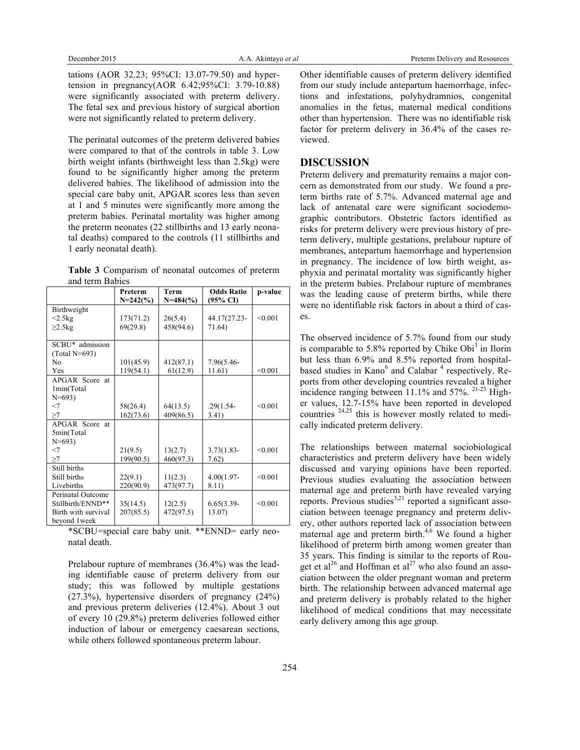tations (AOR 32.23; 95%CI: 13.07-79.50) and hypertension in pregnancy(AOR 6.42;95%CI: 3.79-10.88) were significantly associated with preterm delivery. The fetal sex and previous history of surgical abortion were not significantly related to preterm delivery.

The perinatal outcomes of the preterm delivered babies were compared to that of the controls in table 3. Low birth weight infants (birthweight less than 2.5kg) were found to be significantly higher among the preterm delivered babies. The likelihood of admission into the special care baby unit, APGAR scores less than seven at 1 and 5 minutes were significantly more among the preterm babies. Perinatal mortality was higher among the preterm neonates (22 stillbirths and 13 early neonatal deaths) compared to the controls (11 stillbirths and 1 early neonatal death).

**Table 3** Comparism of neonatal outcomes of preterm and term Babies

|                     | Preterm    | <b>Term</b> | <b>Odds Ratio</b> | p-value |
|---------------------|------------|-------------|-------------------|---------|
|                     | $N=242(%)$ | $N=484$ (%) | (95% CI)          |         |
| Birthweight         |            |             |                   |         |
| $<2.5$ kg           | 173(71.2)  | 26(5.4)     | 44.17(27.23-      | < 0.001 |
| $\geq$ 2.5 $kg$     | 69(29.8)   | 458(94.6)   | 71.64)            |         |
|                     |            |             |                   |         |
| SCBU* admission     |            |             |                   |         |
| $(Total N=693)$     |            |             |                   |         |
| N <sub>0</sub>      | 101(45.9)  | 412(87.1)   | 7.96(5.46-        |         |
| Yes                 | 119(54.1)  | 61(12.9)    | 11.61)            | < 0.001 |
| APGAR Score at      |            |             |                   |         |
| 1min(Total          |            |             |                   |         |
| $N = 693$           |            |             |                   |         |
| $<$ 7               | 58(26.4)   | 64(13.5)    | $.29(1.54 -$      | < 0.001 |
| $\geq$ 7            | 162(73.6)  | 409(86.5)   | 3.41)             |         |
| APGAR Score at      |            |             |                   |         |
| 5min(Total          |            |             |                   |         |
| $N=693$             |            |             |                   |         |
| $<$ 7               | 21(9.5)    | 13(2.7)     | $3.73(1.83 -$     | < 0.001 |
| >7                  | 199(90.5)  | 460(97.3)   | 7.62)             |         |
| Still births        |            |             |                   |         |
| Still births        | 22(9.1)    | 11(2.3)     | $4.00(1.97 -$     | < 0.001 |
| Livebirths          | 220(90.9)  | 473(97.7)   | 8.11)             |         |
| Perinatal Outcome   |            |             |                   |         |
| Stillbirth/ENND**   | 35(14.5)   | 12(2.5)     | $6.65(3.39 -$     | < 0.001 |
| Birth with survival | 207(85.5)  | 472(97.5)   | 13.07)            |         |
| bevond 1week        |            |             |                   |         |

\*SCBU=special care baby unit. \*\*ENND= early neonatal death.

Prelabour rupture of membranes (36.4%) was the leading identifiable cause of preterm delivery from our study; this was followed by multiple gestations (27.3%), hypertensive disorders of pregnancy (24%) and previous preterm deliveries (12.4%). About 3 out of every 10 (29.8%) preterm deliveries followed either induction of labour or emergency caesarean sections, while others followed spontaneous preterm labour.

Other identifiable causes of preterm delivery identified from our study include antepartum haemorrhage, infections and infestations, polyhydramnios, congenital anomalies in the fetus, maternal medical conditions other than hypertension. There was no identifiable risk factor for preterm delivery in 36.4% of the cases reviewed.

#### **DISCUSSION**

Preterm delivery and prematurity remains a major concern as demonstrated from our study. We found a preterm births rate of 5.7%. Advanced maternal age and lack of antenatal care were significant sociodemographic contributors. Obstetric factors identified as risks for preterm delivery were previous history of preterm delivery, multiple gestations, prelabour rupture of membranes, antepartum haemorrhage and hypertension in pregnancy. The incidence of low birth weight, asphyxia and perinatal mortality was significantly higher in the preterm babies. Prelabour rupture of membranes was the leading cause of preterm births, while there were no identifiable risk factors in about a third of cases.

The observed incidence of 5.7% found from our study is comparable to  $5.8\%$  reported by Chike Obi<sup>3</sup> in Ilorin but less than 6.9% and 8.5% reported from hospitalbased studies in Kano<sup>6</sup> and Calabar<sup>4</sup> respectively. Reports from other developing countries revealed a higher incidence ranging between 11.1% and 57%. 21-23 Higher values, 12.7-15% have been reported in developed countries  $24,25$  this is however mostly related to medically indicated preterm delivery.

The relationships between maternal sociobiological characteristics and preterm delivery have been widely discussed and varying opinions have been reported. Previous studies evaluating the association between maternal age and preterm birth have revealed varying reports. Previous studies<sup>3,21</sup> reported a significant association between teenage pregnancy and preterm delivery, other authors reported lack of association between maternal age and preterm birth. $4,6$  We found a higher likelihood of preterm birth among women greater than 35 years. This finding is similar to the reports of Rouget et al<sup>26</sup> and Hoffman et al<sup>27</sup> who also found an association between the older pregnant woman and preterm birth. The relationship between advanced maternal age and preterm delivery is probably related to the higher likelihood of medical conditions that may necessitate early delivery among this age group.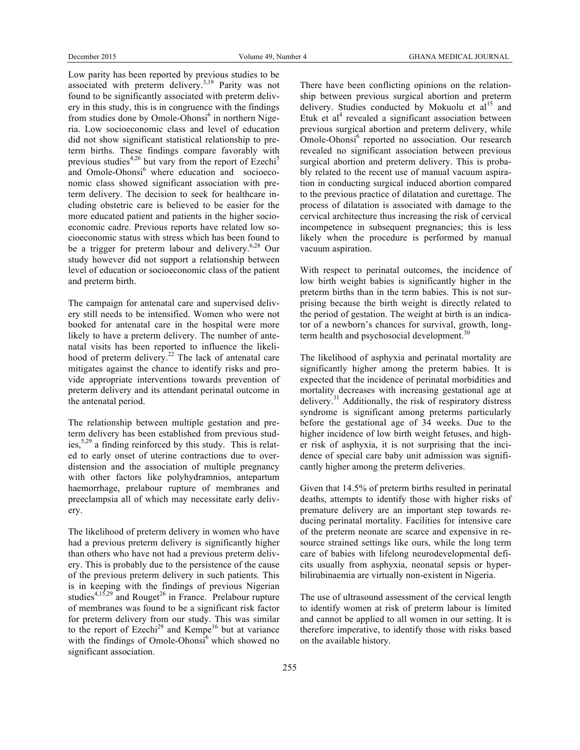Low parity has been reported by previous studies to be associated with preterm delivery.<sup>3,19</sup> Parity was not found to be significantly associated with preterm delivery in this study, this is in congruence with the findings from studies done by Omole-Ohonsi<sup>6</sup> in northern Nigeria. Low socioeconomic class and level of education did not show significant statistical relationship to preterm births. These findings compare favorably with previous studies<sup>4,26</sup> but vary from the report of Ezechi<sup>5</sup> and Omole-Ohonsi<sup>6</sup> where education and socioeconomic class showed significant association with preterm delivery. The decision to seek for healthcare including obstetric care is believed to be easier for the more educated patient and patients in the higher socioeconomic cadre. Previous reports have related low socioeconomic status with stress which has been found to be a trigger for preterm labour and delivery.<sup>6,28</sup> Our study however did not support a relationship between level of education or socioeconomic class of the patient and preterm birth.

The campaign for antenatal care and supervised delivery still needs to be intensified. Women who were not booked for antenatal care in the hospital were more likely to have a preterm delivery. The number of antenatal visits has been reported to influence the likelihood of preterm delivery.<sup>22</sup> The lack of antenatal care mitigates against the chance to identify risks and provide appropriate interventions towards prevention of preterm delivery and its attendant perinatal outcome in the antenatal period.

The relationship between multiple gestation and preterm delivery has been established from previous studies,  $5,29$  a finding reinforced by this study. This is related to early onset of uterine contractions due to overdistension and the association of multiple pregnancy with other factors like polyhydramnios, antepartum haemorrhage, prelabour rupture of membranes and preeclampsia all of which may necessitate early delivery.

The likelihood of preterm delivery in women who have had a previous preterm delivery is significantly higher than others who have not had a previous preterm delivery. This is probably due to the persistence of the cause of the previous preterm delivery in such patients. This is in keeping with the findings of previous Nigerian studies $4,15,29$  and Rouget<sup>26</sup> in France. Prelabour rupture of membranes was found to be a significant risk factor for preterm delivery from our study. This was similar to the report of Ezechi<sup>29</sup> and Kempe<sup>16</sup> but at variance with the findings of Omole-Ohonsi<sup>6</sup> which showed no significant association.

There have been conflicting opinions on the relationship between previous surgical abortion and preterm delivery. Studies conducted by Mokuolu et  $al<sup>15</sup>$  and Etuk et  $al<sup>4</sup>$  revealed a significant association between previous surgical abortion and preterm delivery, while Omole-Ohonsi<sup>6</sup> reported no association. Our research revealed no significant association between previous surgical abortion and preterm delivery. This is probably related to the recent use of manual vacuum aspiration in conducting surgical induced abortion compared to the previous practice of dilatation and curettage. The process of dilatation is associated with damage to the cervical architecture thus increasing the risk of cervical incompetence in subsequent pregnancies; this is less likely when the procedure is performed by manual vacuum aspiration.

With respect to perinatal outcomes, the incidence of low birth weight babies is significantly higher in the preterm births than in the term babies. This is not surprising because the birth weight is directly related to the period of gestation. The weight at birth is an indicator of a newborn's chances for survival, growth, longterm health and psychosocial development.<sup>30</sup>

The likelihood of asphyxia and perinatal mortality are significantly higher among the preterm babies. It is expected that the incidence of perinatal morbidities and mortality decreases with increasing gestational age at delivery.<sup>31</sup> Additionally, the risk of respiratory distress syndrome is significant among preterms particularly before the gestational age of 34 weeks. Due to the higher incidence of low birth weight fetuses, and higher risk of asphyxia, it is not surprising that the incidence of special care baby unit admission was significantly higher among the preterm deliveries.

Given that 14.5% of preterm births resulted in perinatal deaths, attempts to identify those with higher risks of premature delivery are an important step towards reducing perinatal mortality. Facilities for intensive care of the preterm neonate are scarce and expensive in resource strained settings like ours, while the long term care of babies with lifelong neurodevelopmental deficits usually from asphyxia, neonatal sepsis or hyperbilirubinaemia are virtually non-existent in Nigeria.

The use of ultrasound assessment of the cervical length to identify women at risk of preterm labour is limited and cannot be applied to all women in our setting. It is therefore imperative, to identify those with risks based on the available history.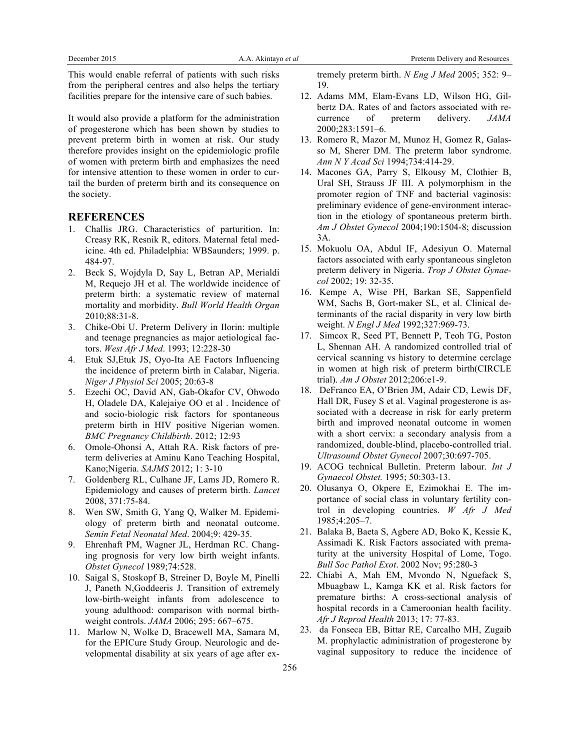This would enable referral of patients with such risks from the peripheral centres and also helps the tertiary facilities prepare for the intensive care of such babies.

It would also provide a platform for the administration of progesterone which has been shown by studies to prevent preterm birth in women at risk. Our study therefore provides insight on the epidemiologic profile of women with preterm birth and emphasizes the need for intensive attention to these women in order to curtail the burden of preterm birth and its consequence on the society.

#### **REFERENCES**

- 1. Challis JRG. Characteristics of parturition. In: Creasy RK, Resnik R, editors. Maternal fetal medicine. 4th ed. Philadelphia: WBSaunders; 1999. p. 484-97.
- 2. Beck S, Wojdyla D, Say L, Betran AP, Merialdi M, Requejo JH et al. The worldwide incidence of preterm birth: a systematic review of maternal mortality and morbidity. *Bull World Health Organ* 2010;88:31-8.
- 3. Chike-Obi U. Preterm Delivery in Ilorin: multiple and teenage pregnancies as major aetiological factors. *West Afr J Med*. 1993; 12:228-30
- 4. Etuk SJ,Etuk JS, Oyo-Ita AE Factors Influencing the incidence of preterm birth in Calabar, Nigeria. *Niger J Physiol Sci* 2005; 20:63-8
- 5. Ezechi OC, David AN, Gab-Okafor CV, Ohwodo H, Oladele DA, Kalejaiye OO et al . Incidence of and socio-biologic risk factors for spontaneous preterm birth in HIV positive Nigerian women. *BMC Pregnancy Childbirth*. 2012; 12:93
- 6. Omole-Ohonsi A, Attah RA. Risk factors of preterm deliveries at Aminu Kano Teaching Hospital, Kano;Nigeria. *SAJMS* 2012; 1: 3-10
- 7. Goldenberg RL, Culhane JF, Lams JD, Romero R. Epidemiology and causes of preterm birth. *Lancet*  2008, 371:75-84.
- Wen SW, Smith G, Yang Q, Walker M. Epidemiology of preterm birth and neonatal outcome. *Semin Fetal Neonatal Med*. 2004;9: 429-35.
- 9. Ehrenhaft PM, Wagner JL, Herdman RC. Changing prognosis for very low birth weight infants. *Obstet Gynecol* 1989;74:528.
- 10. Saigal S, Stoskopf B, Streiner D, Boyle M, Pinelli J, Paneth N,Goddeeris J. Transition of extremely low-birth-weight infants from adolescence to young adulthood: comparison with normal birthweight controls. *JAMA* 2006; 295: 667–675.
- 11. Marlow N, Wolke D, Bracewell MA, Samara M, for the EPICure Study Group. Neurologic and developmental disability at six years of age after ex-

tremely preterm birth. *N Eng J Med* 2005; 352: 9– 19.

- 12. Adams MM, Elam-Evans LD, Wilson HG, Gilbertz DA. Rates of and factors associated with recurrence of preterm delivery. *JAMA* 2000;283:1591–6.
- 13. Romero R, Mazor M, Munoz H, Gomez R, Galasso M, Sherer DM. The preterm labor syndrome. *Ann N Y Acad Sci* 1994;734:414-29.
- 14. Macones GA, Parry S, Elkousy M, Clothier B, Ural SH, Strauss JF III. A polymorphism in the promoter region of TNF and bacterial vaginosis: preliminary evidence of gene-environment interaction in the etiology of spontaneous preterm birth. *Am J Obstet Gynecol* 2004;190:1504-8; discussion 3A.
- 15. Mokuolu OA, Abdul IF, Adesiyun O. Maternal factors associated with early spontaneous singleton preterm delivery in Nigeria. *Trop J Obstet Gynaecol* 2002; 19: 32-35.
- 16. Kempe A, Wise PH, Barkan SE, Sappenfield WM, Sachs B, Gort-maker SL, et al. Clinical determinants of the racial disparity in very low birth weight. *N Engl J Med* 1992;327:969-73.
- 17. Simcox R, Seed PT, Bennett P, Teoh TG, Poston L, Shennan AH. A randomized controlled trial of cervical scanning vs history to determine cerclage in women at high risk of preterm birth(CIRCLE trial). *Am J Obstet* 2012;206:e1-9.
- 18. DeFranco EA, O'Brien JM, Adair CD, Lewis DF, Hall DR, Fusey S et al. Vaginal progesterone is associated with a decrease in risk for early preterm birth and improved neonatal outcome in women with a short cervix: a secondary analysis from a randomized, double-blind, placebo-controlled trial. *Ultrasound Obstet Gynecol* 2007;30:697-705.
- 19. ACOG technical Bulletin. Preterm labour. *Int J Gynaecol Obstet.* 1995; 50:303-13.
- 20. Olusanya O, Okpere E, Ezimokhai E. The importance of social class in voluntary fertility control in developing countries. *W Afr J Med* 1985;4:205–7.
- 21. Balaka B, Baeta S, Agbere AD, Boko K, Kessie K, Assimadi K. Risk Factors associated with prematurity at the university Hospital of Lome, Togo. *Bull Soc Pathol Exot*. 2002 Nov; 95:280-3
- 22. Chiabi A, Mah EM, Mvondo N, Nguefack S, Mbuagbaw L, Kamga KK et al. Risk factors for premature births: A cross-sectional analysis of hospital records in a Cameroonian health facility. *Afr J Reprod Health* 2013; 17: 77-83.
- 23. da Fonseca EB, Bittar RE, Carcalho MH, Zugaib M. prophylactic administration of progesterone by vaginal suppository to reduce the incidence of